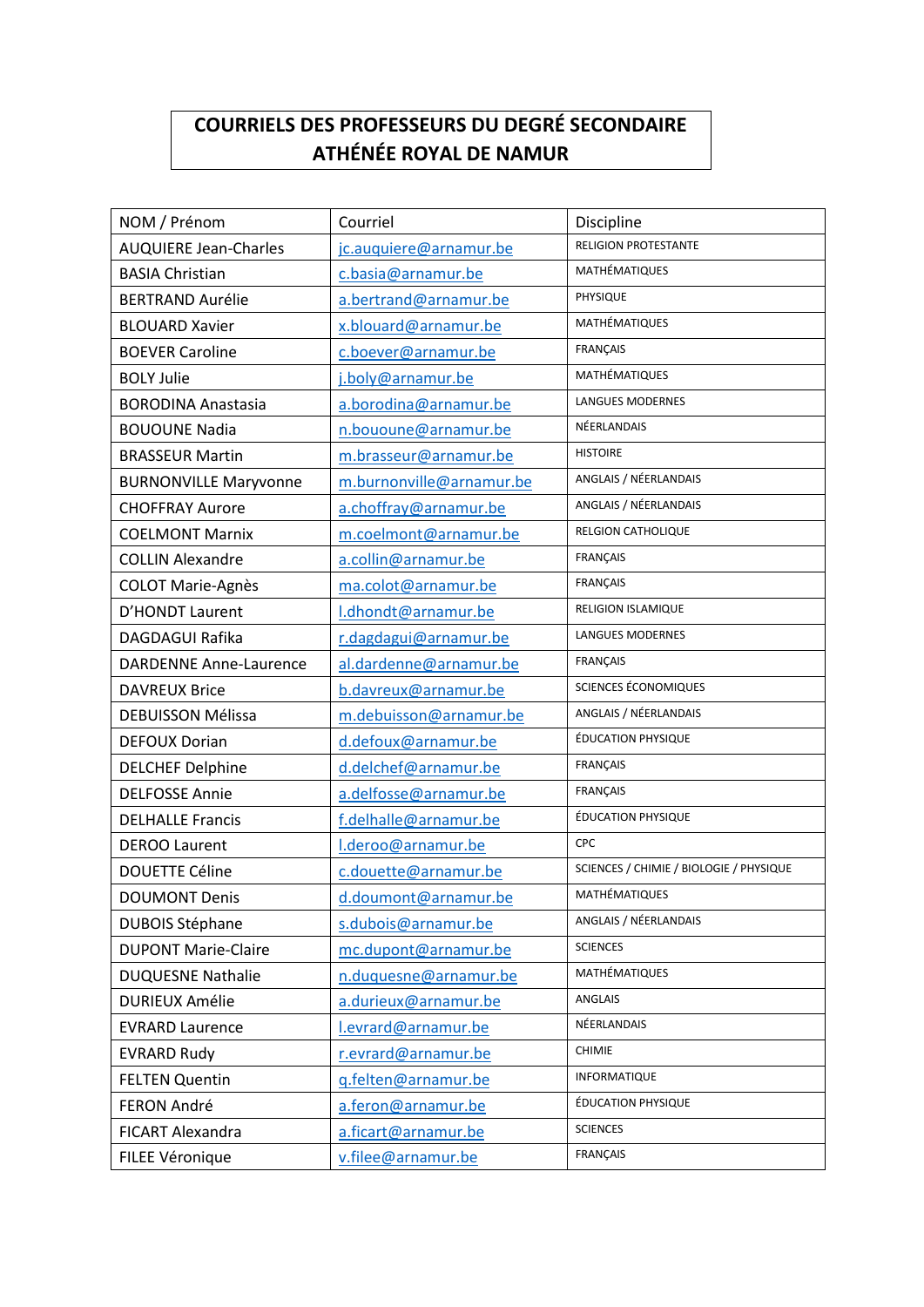## **COURRIELS DES PROFESSEURS DU DEGRÉ SECONDAIRE ATHÉNÉE ROYAL DE NAMUR**

| NOM / Prénom                  | Courriel                 | Discipline                              |
|-------------------------------|--------------------------|-----------------------------------------|
| <b>AUQUIERE Jean-Charles</b>  | jc.auquiere@arnamur.be   | <b>RELIGION PROTESTANTE</b>             |
| <b>BASIA Christian</b>        | c.basia@arnamur.be       | MATHÉMATIQUES                           |
| <b>BERTRAND Aurélie</b>       | a.bertrand@arnamur.be    | PHYSIQUE                                |
| <b>BLOUARD Xavier</b>         | x.blouard@arnamur.be     | MATHÉMATIQUES                           |
| <b>BOEVER Caroline</b>        | c.boever@arnamur.be      | FRANÇAIS                                |
| <b>BOLY Julie</b>             | j.boly@arnamur.be        | MATHÉMATIQUES                           |
| <b>BORODINA Anastasia</b>     | a.borodina@arnamur.be    | <b>LANGUES MODERNES</b>                 |
| <b>BOUOUNE Nadia</b>          | n.bououne@arnamur.be     | NÉERLANDAIS                             |
| <b>BRASSEUR Martin</b>        | m.brasseur@arnamur.be    | <b>HISTOIRE</b>                         |
| <b>BURNONVILLE Maryvonne</b>  | m.burnonville@arnamur.be | ANGLAIS / NÉERLANDAIS                   |
| <b>CHOFFRAY Aurore</b>        | a.choffray@arnamur.be    | ANGLAIS / NÉERLANDAIS                   |
| <b>COELMONT Marnix</b>        | m.coelmont@arnamur.be    | <b>RELGION CATHOLIQUE</b>               |
| <b>COLLIN Alexandre</b>       | a.collin@arnamur.be      | <b>FRANÇAIS</b>                         |
| <b>COLOT Marie-Agnès</b>      | ma.colot@arnamur.be      | <b>FRANÇAIS</b>                         |
| D'HONDT Laurent               | I.dhondt@arnamur.be      | RELIGION ISLAMIQUE                      |
| <b>DAGDAGUI Rafika</b>        | r.dagdagui@arnamur.be    | <b>LANGUES MODERNES</b>                 |
| <b>DARDENNE Anne-Laurence</b> | al.dardenne@arnamur.be   | <b>FRANÇAIS</b>                         |
| <b>DAVREUX Brice</b>          | b.davreux@arnamur.be     | SCIENCES ÉCONOMIQUES                    |
| <b>DEBUISSON Mélissa</b>      | m.debuisson@arnamur.be   | ANGLAIS / NÉERLANDAIS                   |
| <b>DEFOUX Dorian</b>          | d.defoux@arnamur.be      | ÉDUCATION PHYSIQUE                      |
| <b>DELCHEF Delphine</b>       | d.delchef@arnamur.be     | <b>FRANÇAIS</b>                         |
| <b>DELFOSSE Annie</b>         | a.delfosse@arnamur.be    | <b>FRANÇAIS</b>                         |
| <b>DELHALLE Francis</b>       | f.delhalle@arnamur.be    | ÉDUCATION PHYSIQUE                      |
| <b>DEROO Laurent</b>          | I.deroo@arnamur.be       | CPC                                     |
| <b>DOUETTE Céline</b>         | c.douette@arnamur.be     | SCIENCES / CHIMIE / BIOLOGIE / PHYSIQUE |
| <b>DOUMONT Denis</b>          | d.doumont@arnamur.be     | MATHÉMATIQUES                           |
| <b>DUBOIS Stéphane</b>        | s.dubois@arnamur.be      | ANGLAIS / NÉERLANDAIS                   |
| <b>DUPONT Marie-Claire</b>    | mc.dupont@arnamur.be     | <b>SCIENCES</b>                         |
| <b>DUQUESNE Nathalie</b>      | n.duquesne@arnamur.be    | MATHÉMATIQUES                           |
| <b>DURIEUX Amélie</b>         | a.durieux@arnamur.be     | ANGLAIS                                 |
| <b>EVRARD Laurence</b>        | l.evrard@arnamur.be      | NÉERLANDAIS                             |
| <b>EVRARD Rudy</b>            | r.evrard@arnamur.be      | <b>CHIMIE</b>                           |
| <b>FELTEN Quentin</b>         | g.felten@arnamur.be      | <b>INFORMATIQUE</b>                     |
| FERON André                   | a.feron@arnamur.be       | ÉDUCATION PHYSIQUE                      |
| FICART Alexandra              | a.ficart@arnamur.be      | <b>SCIENCES</b>                         |
| FILEE Véronique               | v.filee@arnamur.be       | FRANÇAIS                                |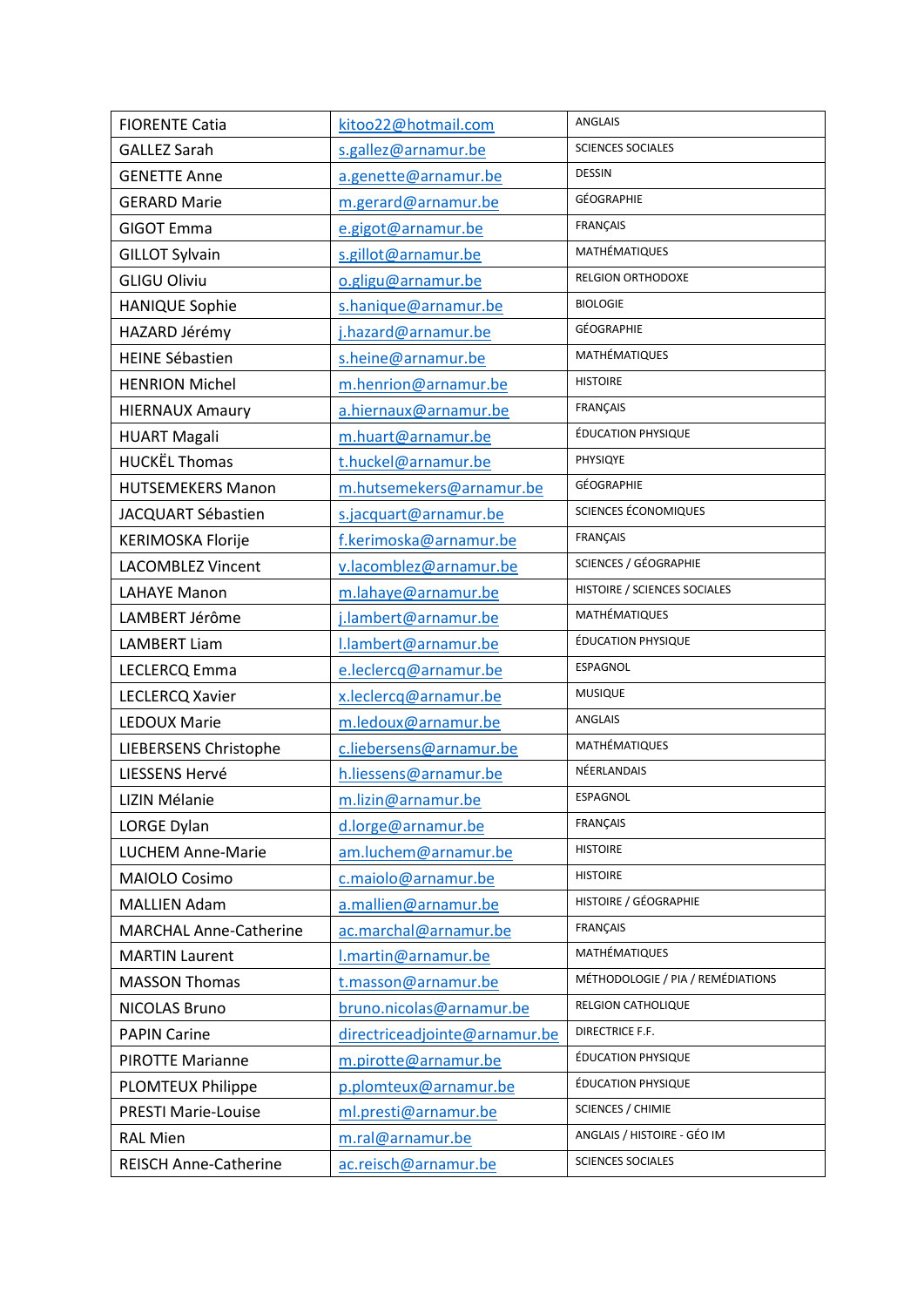| <b>FIORENTE Catia</b>         | kitoo22@hotmail.com           | <b>ANGLAIS</b>                    |
|-------------------------------|-------------------------------|-----------------------------------|
| <b>GALLEZ Sarah</b>           | s.gallez@arnamur.be           | <b>SCIENCES SOCIALES</b>          |
| <b>GENETTE Anne</b>           | a.genette@arnamur.be          | <b>DESSIN</b>                     |
| <b>GERARD Marie</b>           | m.gerard@arnamur.be           | GÉOGRAPHIE                        |
| <b>GIGOT Emma</b>             | e.gigot@arnamur.be            | <b>FRANÇAIS</b>                   |
| <b>GILLOT Sylvain</b>         | s.gillot@arnamur.be           | MATHÉMATIQUES                     |
| <b>GLIGU Oliviu</b>           | o.gligu@arnamur.be            | <b>RELGION ORTHODOXE</b>          |
| <b>HANIQUE Sophie</b>         | s.hanique@arnamur.be          | <b>BIOLOGIE</b>                   |
| HAZARD Jérémy                 | j.hazard@arnamur.be           | GÉOGRAPHIE                        |
| <b>HEINE Sébastien</b>        | s.heine@arnamur.be            | MATHÉMATIQUES                     |
| <b>HENRION Michel</b>         | m.henrion@arnamur.be          | <b>HISTOIRE</b>                   |
| <b>HIERNAUX Amaury</b>        | a.hiernaux@arnamur.be         | <b>FRANÇAIS</b>                   |
| <b>HUART Magali</b>           | m.huart@arnamur.be            | ÉDUCATION PHYSIQUE                |
| <b>HUCKËL Thomas</b>          | t.huckel@arnamur.be           | PHYSIQYE                          |
| <b>HUTSEMEKERS Manon</b>      | m.hutsemekers@arnamur.be      | GÉOGRAPHIE                        |
| JACQUART Sébastien            | s.jacquart@arnamur.be         | SCIENCES ÉCONOMIQUES              |
| <b>KERIMOSKA Florije</b>      | f.kerimoska@arnamur.be        | <b>FRANÇAIS</b>                   |
| <b>LACOMBLEZ Vincent</b>      | v.lacomblez@arnamur.be        | SCIENCES / GÉOGRAPHIE             |
| <b>LAHAYE Manon</b>           | m.lahaye@arnamur.be           | HISTOIRE / SCIENCES SOCIALES      |
| LAMBERT Jérôme                | j.lambert@arnamur.be          | MATHÉMATIQUES                     |
| <b>LAMBERT Liam</b>           | I.lambert@arnamur.be          | ÉDUCATION PHYSIQUE                |
| LECLERCQ Emma                 | e.leclercq@arnamur.be         | <b>ESPAGNOL</b>                   |
| <b>LECLERCQ Xavier</b>        | x.leclercq@arnamur.be         | <b>MUSIQUE</b>                    |
| <b>LEDOUX Marie</b>           | m.ledoux@arnamur.be           | ANGLAIS                           |
| LIEBERSENS Christophe         | c.liebersens@arnamur.be       | MATHÉMATIQUES                     |
| LIESSENS Hervé                | h.liessens@arnamur.be         | NÉERLANDAIS                       |
| LIZIN Mélanie                 | m.lizin@arnamur.be            | ESPAGNOL                          |
| LORGE Dylan                   | d.lorge@arnamur.be            | <b>FRANÇAIS</b>                   |
| <b>LUCHEM Anne-Marie</b>      | am.luchem@arnamur.be          | <b>HISTOIRE</b>                   |
| MAIOLO Cosimo                 | c.maiolo@arnamur.be           | <b>HISTOIRE</b>                   |
| <b>MALLIEN Adam</b>           | a.mallien@arnamur.be          | HISTOIRE / GÉOGRAPHIE             |
| <b>MARCHAL Anne-Catherine</b> | ac.marchal@arnamur.be         | FRANÇAIS                          |
| <b>MARTIN Laurent</b>         | I.martin@arnamur.be           | MATHÉMATIQUES                     |
| <b>MASSON Thomas</b>          | t.masson@arnamur.be           | MÉTHODOLOGIE / PIA / REMÉDIATIONS |
| <b>NICOLAS Bruno</b>          | bruno.nicolas@arnamur.be      | RELGION CATHOLIQUE                |
| <b>PAPIN Carine</b>           | directriceadjointe@arnamur.be | DIRECTRICE F.F.                   |
| <b>PIROTTE Marianne</b>       | m.pirotte@arnamur.be          | <b>ÉDUCATION PHYSIQUE</b>         |
| <b>PLOMTEUX Philippe</b>      | p.plomteux@arnamur.be         | ÉDUCATION PHYSIQUE                |
| <b>PRESTI Marie-Louise</b>    | ml.presti@arnamur.be          | <b>SCIENCES / CHIMIE</b>          |
| <b>RAL Mien</b>               | m.ral@arnamur.be              | ANGLAIS / HISTOIRE - GÉO IM       |
| <b>REISCH Anne-Catherine</b>  | ac.reisch@arnamur.be          | <b>SCIENCES SOCIALES</b>          |